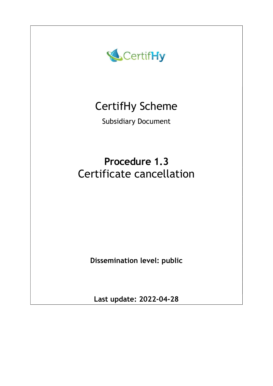

# CertifHy Scheme

Subsidiary Document

# Procedure 1.3 Certificate cancellation

Dissemination level: public

Last update: 2022-04-28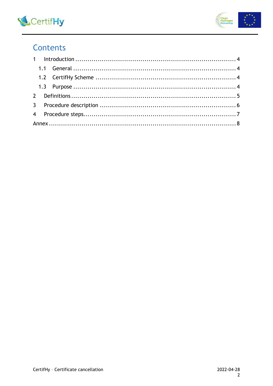



# Contents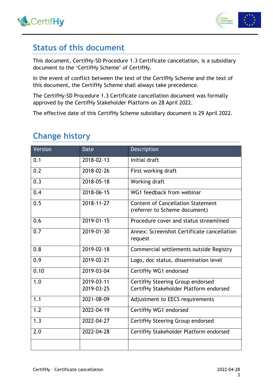



### Status of this document

This document, CertifHy-SD Procedure 1.3 Certificate cancellation, is a subsidiary document to the 'CertifHy Scheme' of CertifHy.

In the event of conflict between the text of the CertifHy Scheme and the text of this document, the CertifHy Scheme shall always take precedence.

The CertifHy-SD Procedure 1.3 Certificate cancellation document was formally approved by the CertifHy Stakeholder Platform on 28 April 2022.

The effective date of this CertifHy Scheme subsidiary document is 29 April 2022.

| <b>Change history</b> |  |
|-----------------------|--|
|-----------------------|--|

| Version | <b>Date</b> | Description                                                               |  |  |
|---------|-------------|---------------------------------------------------------------------------|--|--|
| 0.1     | 2018-02-13  | Initial draft                                                             |  |  |
| 0.2     | 2018-02-26  | First working draft                                                       |  |  |
| 0.3     | 2018-05-18  | Working draft                                                             |  |  |
| 0.4     | 2018-06-15  | WG1 feedback from webinar                                                 |  |  |
| 0.5     | 2018-11-27  | <b>Content of Cancellation Statement</b><br>(referrer to Scheme document) |  |  |
| 0.6     | 2019-01-15  | Procedure cover and status streamlined                                    |  |  |
| 0.7     | 2019-01-30  | Annex: Screenshot Certificate cancellation<br>request                     |  |  |
| 0.8     | 2019-02-18  | Commercial settlements outside Registry                                   |  |  |
| 0.9     | 2019-02-21  | Logo, doc status, dissemination level                                     |  |  |
| 0.10    | 2019-03-04  | CertifHy WG1 endorsed                                                     |  |  |
| 1.0     | 2019-03-11  | CertifHy Steering Group endorsed                                          |  |  |
|         | 2019-03-25  | CertifHy Stakeholder Platform endorsed                                    |  |  |
| 1.1     | 2021-08-09  | Adjustment to EECS requirements                                           |  |  |
| 1.2     | 2022-04-19  | CertifHy WG1 endorsed                                                     |  |  |
| 1.3     | 2022-04-27  | CertifHy Steering Group endorsed                                          |  |  |
| 2.0     | 2022-04-28  | CertifHy Stakeholder Platform endorsed                                    |  |  |
|         |             |                                                                           |  |  |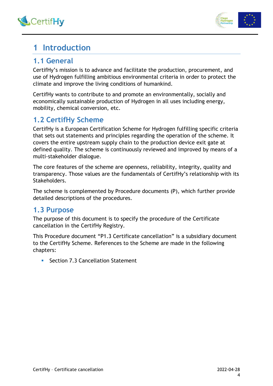



## 1 Introduction

### 1.1 General

CertifHy's mission is to advance and facilitate the production, procurement, and use of Hydrogen fulfilling ambitious environmental criteria in order to protect the climate and improve the living conditions of humankind.

CertifHy wants to contribute to and promote an environmentally, socially and economically sustainable production of Hydrogen in all uses including energy, mobility, chemical conversion, etc.

### 1.2 CertifHy Scheme

CertifHy is a European Certification Scheme for Hydrogen fulfilling specific criteria that sets out statements and principles regarding the operation of the scheme. It covers the entire upstream supply chain to the production device exit gate at defined quality. The scheme is continuously reviewed and improved by means of a multi-stakeholder dialogue.

The core features of the scheme are openness, reliability, integrity, quality and transparency. Those values are the fundamentals of CertifHy's relationship with its Stakeholders.

The scheme is complemented by Procedure documents (P), which further provide detailed descriptions of the procedures.

### 1.3 Purpose

The purpose of this document is to specify the procedure of the Certificate cancellation in the CertifHy Registry.

This Procedure document "P1.3 Certificate cancellation" is a subsidiary document to the CertifHy Scheme. References to the Scheme are made in the following chapters:

**Section 7.3 Cancellation Statement**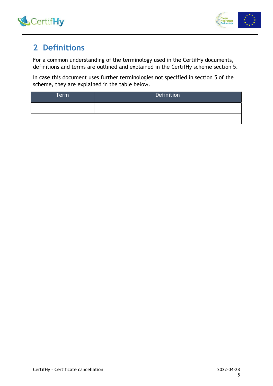



# 2 Definitions

For a common understanding of the terminology used in the CertifHy documents, definitions and terms are outlined and explained in the CertifHy scheme section 5.

In case this document uses further terminologies not specified in section 5 of the scheme, they are explained in the table below.

| Term | Definition |
|------|------------|
|      |            |
|      |            |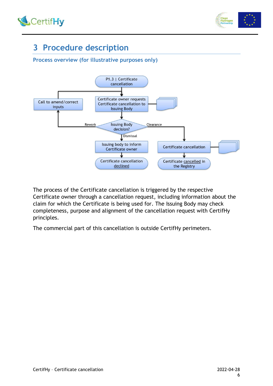



# 3 Procedure description

#### Process overview (for illustrative purposes only)



The process of the Certificate cancellation is triggered by the respective Certificate owner through a cancellation request, including information about the claim for which the Certificate is being used for. The Issuing Body may check completeness, purpose and alignment of the cancellation request with CertifHy principles.

The commercial part of this cancellation is outside CertifHy perimeters.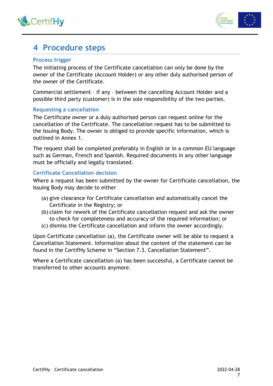



### 4 Procedure steps

#### Process trigger

The initiating process of the Certificate cancellation can only be done by the owner of the Certificate (Account Holder) or any other duly authorised person of the owner of the Certificate.

Commercial settlement – if any – between the cancelling Account Holder and a possible third party (customer) is in the sole responsibility of the two parties.

#### Requesting a cancellation

The Certificate owner or a duly authorised person can request online for the cancellation of the Certificate. The cancellation request has to be submitted to the Issuing Body. The owner is obliged to provide specific information, which is outlined in Annex 1.

The request shall be completed preferably in English or in a common EU language such as German, French and Spanish. Required documents in any other language must be officially and legally translated.

#### Certificate Cancellation decision

Where a request has been submitted by the owner for Certificate cancellation, the Issuing Body may decide to either

- (a) give clearance for Certificate cancellation and automatically cancel the Certificate in the Registry; or
- (b) claim for rework of the Certificate cancellation request and ask the owner to check for completeness and accuracy of the required information; or
- (c) dismiss the Certificate cancellation and inform the owner accordingly.

Upon Certificate cancellation (a), the Certificate owner will be able to request a Cancellation Statement. Information about the content of the statement can be found in the CertifHy Scheme in "Section 7.3. Cancellation Statement".

Where a Certificate cancellation (a) has been successful, a Certificate cannot be transferred to other accounts anymore.